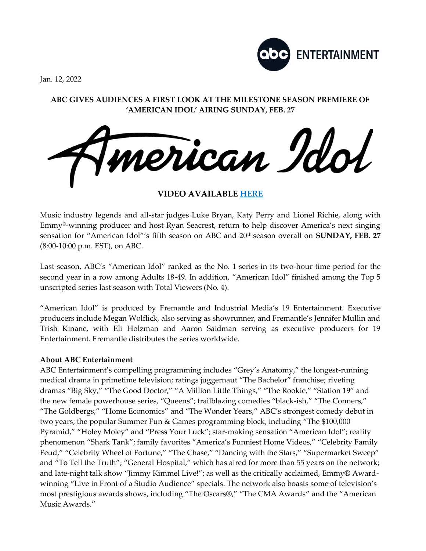

Jan. 12, 2022

# **ABC GIVES AUDIENCES A FIRST LOOK AT THE MILESTONE SEASON PREMIERE OF 'AMERICAN IDOL' AIRING SUNDAY, FEB. 27**



**VIDEO AVAILABLE [HERE](https://nam04.safelinks.protection.outlook.com/?url=https%3A%2F%2Fyoutu.be%2Fn-vEslTU_VU&data=04%7C01%7CLiana.C.Yamasaki%40disney.com%7C1ba05d1879eb418d95ce08d9d5465318%7C56b731a8a2ac4c32bf6b616810e913c6%7C1%7C0%7C637775320276919068%7CUnknown%7CTWFpbGZsb3d8eyJWIjoiMC4wLjAwMDAiLCJQIjoiV2luMzIiLCJBTiI6Ik1haWwiLCJXVCI6Mn0%3D%7C3000&sdata=Lx5jaiw9g%2BJE0Tamnf8kZWsk6WZGfqHeT1G%2BQ3rzdnA%3D&reserved=0)**

Music industry legends and all-star judges Luke Bryan, Katy Perry and Lionel Richie, along with Emmy®-winning producer and host Ryan Seacrest, return to help discover America's next singing sensation for "American Idol"'s fifth season on ABC and 20th season overall on **SUNDAY, FEB. 27**  (8:00-10:00 p.m. EST), on ABC.

Last season, ABC's "American Idol" ranked as the No. 1 series in its two-hour time period for the second year in a row among Adults 18-49. In addition, "American Idol" finished among the Top 5 unscripted series last season with Total Viewers (No. 4).

"American Idol" is produced by Fremantle and Industrial Media's 19 Entertainment. Executive producers include Megan Wolflick, also serving as showrunner, and Fremantle's Jennifer Mullin and Trish Kinane, with Eli Holzman and Aaron Saidman serving as executive producers for 19 Entertainment. Fremantle distributes the series worldwide.

# **About ABC Entertainment**

ABC Entertainment's compelling programming includes "Grey's Anatomy," the longest-running medical drama in primetime television; ratings juggernaut "The Bachelor" franchise; riveting dramas "Big Sky," "The Good Doctor," "A Million Little Things," "The Rookie," "Station 19" and the new female powerhouse series, "Queens"; trailblazing comedies "black-ish," "The Conners," "The Goldbergs," "Home Economics" and "The Wonder Years," ABC's strongest comedy debut in two years; the popular Summer Fun & Games programming block, including "The \$100,000 Pyramid," "Holey Moley" and "Press Your Luck"; star-making sensation "American Idol"; reality phenomenon "Shark Tank"; family favorites "America's Funniest Home Videos," "Celebrity Family Feud," "Celebrity Wheel of Fortune," "The Chase," "Dancing with the Stars," "Supermarket Sweep" and "To Tell the Truth"; "General Hospital," which has aired for more than 55 years on the network; and late-night talk show "Jimmy Kimmel Live!"; as well as the critically acclaimed, Emmy® Awardwinning "Live in Front of a Studio Audience" specials. The network also boasts some of television's most prestigious awards shows, including "The Oscars®," "The CMA Awards" and the "American Music Awards."